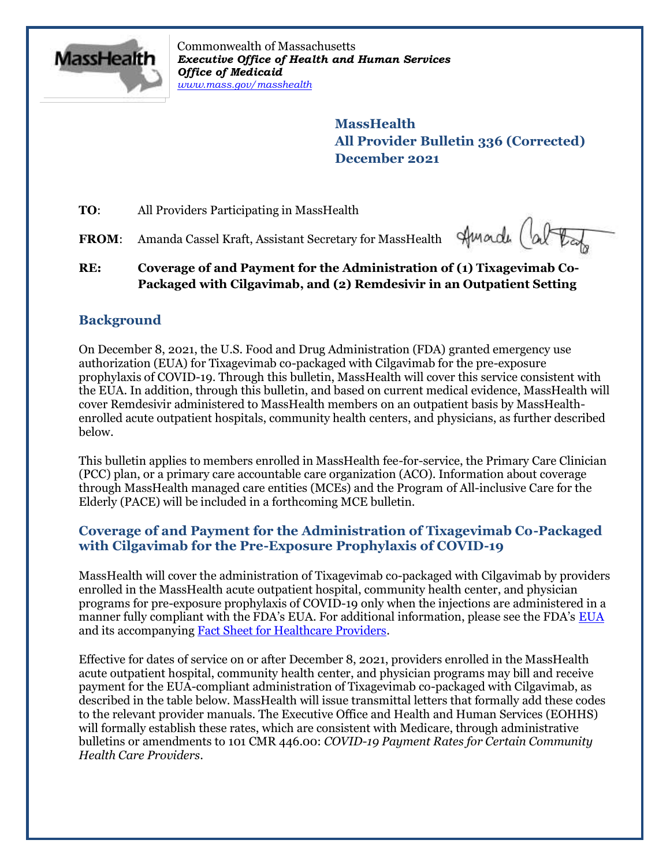

Commonwealth of Massachusetts *Executive Office of Health and Human Services Office of Medicaid [www.mass.gov/masshealth](http://www.mass.gov/masshealth)*

> **MassHealth All Provider Bulletin 336 (Corrected) December 2021**

**TO**: All Providers Participating in MassHealth

**FROM**: Amanda Cassel Kraft, Assistant Secretary for MassHealth

Amade (ab

**RE: Coverage of and Payment for the Administration of (1) Tixagevimab Co-Packaged with Cilgavimab, and (2) Remdesivir in an Outpatient Setting**

# **Background**

On December 8, 2021, the U.S. Food and Drug Administration (FDA) granted emergency use authorization (EUA) for Tixagevimab co-packaged with Cilgavimab for the pre-exposure prophylaxis of COVID-19. Through this bulletin, MassHealth will cover this service consistent with the EUA. In addition, through this bulletin, and based on current medical evidence, MassHealth will cover Remdesivir administered to MassHealth members on an outpatient basis by MassHealthenrolled acute outpatient hospitals, community health centers, and physicians, as further described below.

This bulletin applies to members enrolled in MassHealth fee-for-service, the Primary Care Clinician (PCC) plan, or a primary care accountable care organization (ACO). Information about coverage through MassHealth managed care entities (MCEs) and the Program of All-inclusive Care for the Elderly (PACE) will be included in a forthcoming MCE bulletin.

## **Coverage of and Payment for the Administration of Tixagevimab Co-Packaged with Cilgavimab for the Pre-Exposure Prophylaxis of COVID-19**

MassHealth will cover the administration of Tixagevimab co-packaged with Cilgavimab by providers enrolled in the MassHealth acute outpatient hospital, community health center, and physician programs for pre-exposure prophylaxis of COVID-19 only when the injections are administered in a manner fully compliant with the FDA's EUA. For additional information, please see the FDA's [EUA](https://www.fda.gov/media/154704/download) and its accompanying [Fact Sheet for Healthcare Providers.](https://www.fda.gov/media/154701/download)

Effective for dates of service on or after December 8, 2021, providers enrolled in the MassHealth acute outpatient hospital, community health center, and physician programs may bill and receive payment for the EUA-compliant administration of Tixagevimab co-packaged with Cilgavimab, as described in the table below. MassHealth will issue transmittal letters that formally add these codes to the relevant provider manuals. The Executive Office and Health and Human Services (EOHHS) will formally establish these rates, which are consistent with Medicare, through administrative bulletins or amendments to 101 CMR 446.00: *COVID-19 Payment Rates for Certain Community Health Care Providers*.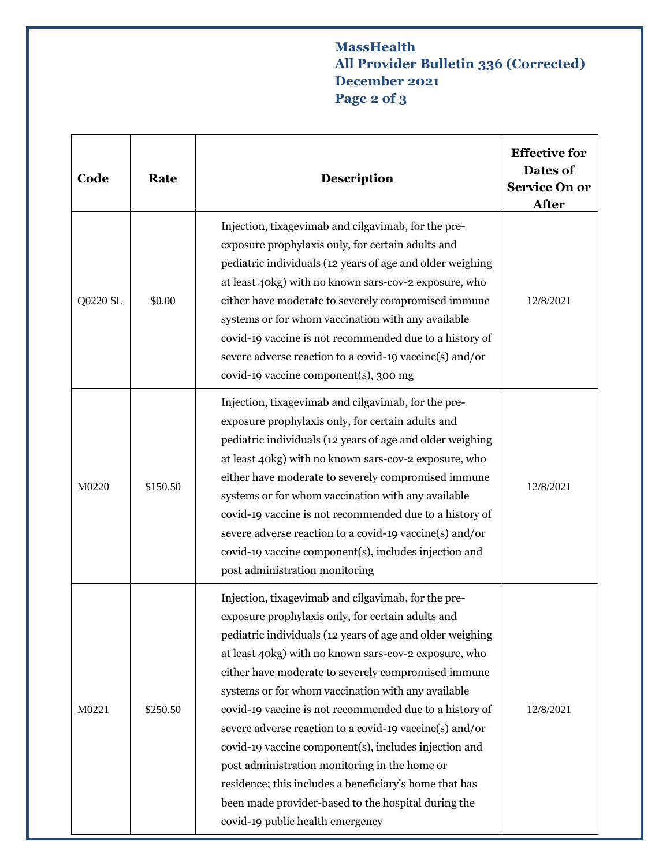# **MassHealth All Provider Bulletin 336 (Corrected) December 2021 Page 2 of 3**

| Code     | Rate     | <b>Description</b>                                                                                                                                                                                                                                                                                                                                                                                                                                                                                                                                                                                                                                                                                                               | <b>Effective for</b><br>Dates of<br><b>Service On or</b><br><b>After</b> |
|----------|----------|----------------------------------------------------------------------------------------------------------------------------------------------------------------------------------------------------------------------------------------------------------------------------------------------------------------------------------------------------------------------------------------------------------------------------------------------------------------------------------------------------------------------------------------------------------------------------------------------------------------------------------------------------------------------------------------------------------------------------------|--------------------------------------------------------------------------|
| Q0220 SL | \$0.00   | Injection, tixagevimab and cilgavimab, for the pre-<br>exposure prophylaxis only, for certain adults and<br>pediatric individuals (12 years of age and older weighing<br>at least 40kg) with no known sars-cov-2 exposure, who<br>either have moderate to severely compromised immune<br>systems or for whom vaccination with any available<br>covid-19 vaccine is not recommended due to a history of<br>severe adverse reaction to a covid-19 vaccine(s) and/or<br>covid-19 vaccine component(s), 300 mg                                                                                                                                                                                                                       | 12/8/2021                                                                |
| M0220    | \$150.50 | Injection, tixagevimab and cilgavimab, for the pre-<br>exposure prophylaxis only, for certain adults and<br>pediatric individuals (12 years of age and older weighing<br>at least 40kg) with no known sars-cov-2 exposure, who<br>either have moderate to severely compromised immune<br>systems or for whom vaccination with any available<br>covid-19 vaccine is not recommended due to a history of<br>severe adverse reaction to a covid-19 vaccine(s) and/or<br>covid-19 vaccine component(s), includes injection and<br>post administration monitoring                                                                                                                                                                     | 12/8/2021                                                                |
| M0221    | \$250.50 | Injection, tixagevimab and cilgavimab, for the pre-<br>exposure prophylaxis only, for certain adults and<br>pediatric individuals (12 years of age and older weighing<br>at least 40kg) with no known sars-cov-2 exposure, who<br>either have moderate to severely compromised immune<br>systems or for whom vaccination with any available<br>covid-19 vaccine is not recommended due to a history of<br>severe adverse reaction to a covid-19 vaccine(s) and/or<br>covid-19 vaccine component(s), includes injection and<br>post administration monitoring in the home or<br>residence; this includes a beneficiary's home that has<br>been made provider-based to the hospital during the<br>covid-19 public health emergency | 12/8/2021                                                                |